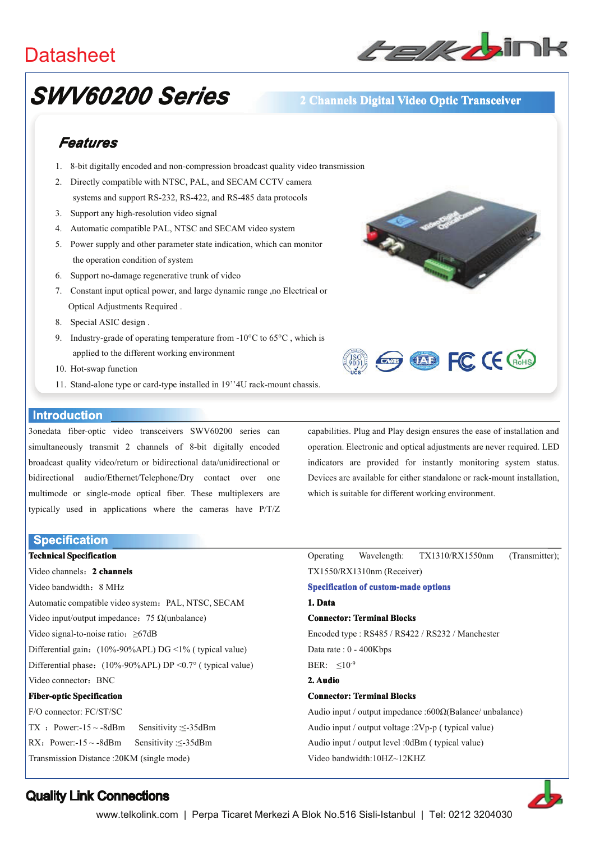## **Datasheet**



# **SWV60200 Series**

### 2 Channels Digital Video Optic Transceiver

## Features

- 1. 8-bit digitally encoded and non-compression broadcast quality video transmission
- 2. Directly compatible with NTSC, PAL, and SECAM CCTV camera systems and support RS-232, RS-422, and RS-485 data protocols
- 3. Support any high-resolution video signal
- 4. Automatic compatible PAL, NTSC and SECAM video system
- 5. Power supply and other parameter state indication, which can monitor the operation condition of system
- 6. Support no-damage regenerative trunk of video
- 7. Constant input optical power, and large dynamic range ,no Electrical or Optical Adjustments Required.
- 8. Special ASIC design.
- 9. Industry-grade of operating temperature from -10 $^{\circ}$ C to 65 $^{\circ}$ C, which is applied to the different working environment
- 10. Hot-swap function
- 11. Stand-alone type or card-type installed in 19"4U rack-mount chassis.

#### **Introduction**

3onedata fiber-optic video transceivers SWV60200 series can simultaneously transmit 2 channels of 8-bit digitally encoded broadcast quality video/return or bidirectional data/unidirectional or bidirectional audio/Ethernet/Telephone/Dry contact over one multimode or single-mode optical fiber. These multiplexers are typically used in applications where the cameras have P/T/Z

**Specification** 

**Technical Specification** Video channels: 2 channels Video bandwidth: 8 MHz Automatic compatible video system: PAL, NTSC, SECAM Video input/output impedance: 75  $\Omega$ (unbalance) Video signal-to-noise ratio:  $\geq 67$ dB Differential gain: (10%-90%APL) DG <1% (typical value) Differential phase:  $(10\% - 90\% APL) DP < 0.7$ ° (typical value) Video connector: BNC **Fiber-optic Specification** F/O connector: FC/ST/SC TX : Power:- $15 \sim -8$ dBm Sensitivity: $\leq -35$ dBm RX: Power:- $15 \sim -8$ dBm Sensitivity: <- 35dBm

capabilities. Plug and Play design ensures the ease of installation and operation. Electronic and optical adjustments are never required. LED indicators are provided for instantly monitoring system status. Devices are available for either standalone or rack-mount installation. which is suitable for different working environment.

**EXP CONTROL CE CROHS** 

Operating Wavelength: TX1310/RX1550nm (Transmitter): TX1550/RX1310nm (Receiver) **Specification of custom-made options** 1 Data **Connector: Terminal Blocks** Encoded type: RS485 / RS422 / RS232 / Manchester Data rate: 0 - 400Kbps BER:  $\leq 10^{-9}$ 2 Audio **Connector: Terminal Blocks** Audio input / output impedance :600 $\Omega$ (Balance/ unbalance) Audio input / output voltage :2Vp-p (typical value)

Audio input / output level :0dBm ( typical value)

Video bandwidth:10HZ~12KHZ



### **Quality Link Connections**

Transmission Distance: 20KM (single mode)